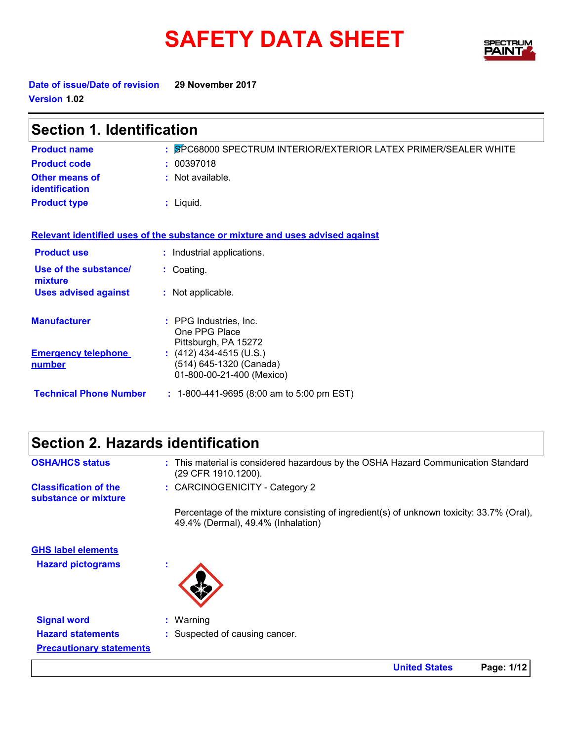# SAFETY DATA SHEET SPECTRY



**United States Page: 1/12**

**Date of issue/Date of revision 29 November 2017 Version 1.02**

| <b>Section 1. Identification</b>               |                                                                                   |  |
|------------------------------------------------|-----------------------------------------------------------------------------------|--|
| <b>Product name</b>                            | : SPC68000 SPECTRUM INTERIOR/EXTERIOR LATEX PRIMER/SEALER WHITE                   |  |
| <b>Product code</b>                            | : 00397018                                                                        |  |
| <b>Other means of</b><br><b>identification</b> | : Not available.                                                                  |  |
| <b>Product type</b>                            | : Liquid.                                                                         |  |
|                                                | Relevant identified uses of the substance or mixture and uses advised against     |  |
| <b>Product use</b>                             | : Industrial applications.                                                        |  |
| Use of the substance/<br>mixture               | : Coating.                                                                        |  |
| <b>Uses advised against</b>                    | : Not applicable.                                                                 |  |
| <b>Manufacturer</b>                            | : PPG Industries, Inc.<br>One PPG Place<br>Pittsburgh, PA 15272                   |  |
| <b>Emergency telephone</b><br><u>number</u>    | : $(412)$ 434-4515 (U.S.)<br>(514) 645-1320 (Canada)<br>01-800-00-21-400 (Mexico) |  |
| <b>Technical Phone Number</b>                  | $: 1-800-441-9695$ (8:00 am to 5:00 pm EST)                                       |  |

| <b>Section 2. Hazards identification</b> |  |
|------------------------------------------|--|
|------------------------------------------|--|

| <b>OSHA/HCS status</b>                                | : This material is considered hazardous by the OSHA Hazard Communication Standard<br>(29 CFR 1910.1200).                       |
|-------------------------------------------------------|--------------------------------------------------------------------------------------------------------------------------------|
| <b>Classification of the</b><br>substance or mixture  | : CARCINOGENICITY - Category 2                                                                                                 |
|                                                       | Percentage of the mixture consisting of ingredient(s) of unknown toxicity: 33.7% (Oral),<br>49.4% (Dermal), 49.4% (Inhalation) |
| <b>GHS label elements</b><br><b>Hazard pictograms</b> |                                                                                                                                |
| <b>Signal word</b>                                    | $:$ Warning                                                                                                                    |
| <b>Hazard statements</b>                              | : Suspected of causing cancer.                                                                                                 |
| <b>Precautionary statements</b>                       |                                                                                                                                |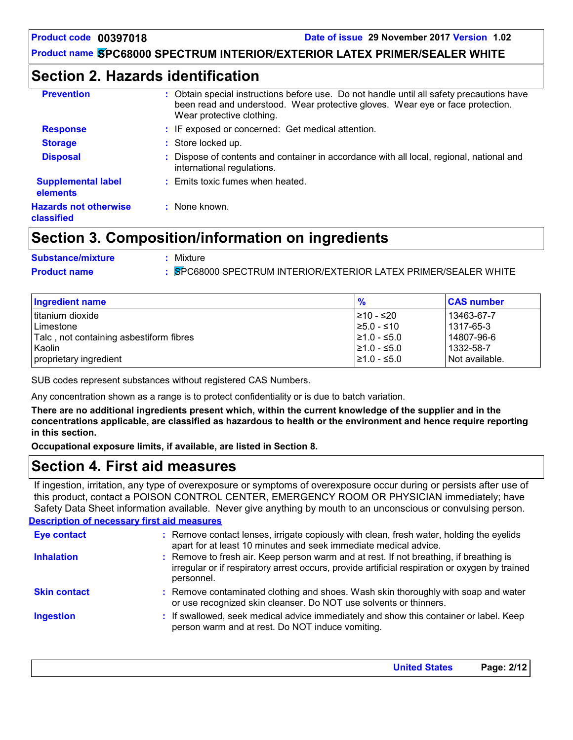### **Section 2. Hazards identification**

| <b>Prevention</b>                          | : Obtain special instructions before use. Do not handle until all safety precautions have<br>been read and understood. Wear protective gloves. Wear eye or face protection.<br>Wear protective clothing. |
|--------------------------------------------|----------------------------------------------------------------------------------------------------------------------------------------------------------------------------------------------------------|
| <b>Response</b>                            | : IF exposed or concerned: Get medical attention.                                                                                                                                                        |
| <b>Storage</b>                             | : Store locked up.                                                                                                                                                                                       |
| <b>Disposal</b>                            | Dispose of contents and container in accordance with all local, regional, national and<br>international regulations.                                                                                     |
| <b>Supplemental label</b><br>elements      | : Emits toxic fumes when heated.                                                                                                                                                                         |
| <b>Hazards not otherwise</b><br>classified | : None known.                                                                                                                                                                                            |
|                                            |                                                                                                                                                                                                          |

### **Section 3. Composition/information on ingredients**

| <b>Substance/mixture</b> | Mixture                                                       |
|--------------------------|---------------------------------------------------------------|
| <b>Product name</b>      | SPC68000 SPECTRUM INTERIOR/EXTERIOR LATEX PRIMER/SEALER WHITE |

| <b>Ingredient name</b>                  | $\frac{9}{6}$    | <b>CAS number</b> |
|-----------------------------------------|------------------|-------------------|
| titanium dioxide                        | I≥10 - ≤20       | 13463-67-7        |
| Limestone                               | $\geq 5.0 - 510$ | 1317-65-3         |
| Talc, not containing asbestiform fibres | $\geq 1.0 - 5.0$ | 14807-96-6        |
| Kaolin                                  | $\geq 1.0 - 5.0$ | 1332-58-7         |
| proprietary ingredient                  | $\geq 1.0 - 5.0$ | Not available.    |

SUB codes represent substances without registered CAS Numbers.

Any concentration shown as a range is to protect confidentiality or is due to batch variation.

**There are no additional ingredients present which, within the current knowledge of the supplier and in the concentrations applicable, are classified as hazardous to health or the environment and hence require reporting in this section.**

**Occupational exposure limits, if available, are listed in Section 8.**

### **Section 4. First aid measures**

If ingestion, irritation, any type of overexposure or symptoms of overexposure occur during or persists after use of this product, contact a POISON CONTROL CENTER, EMERGENCY ROOM OR PHYSICIAN immediately; have Safety Data Sheet information available. Never give anything by mouth to an unconscious or convulsing person.

#### **Description of necessary first aid measures**

| <b>Eye contact</b>  | : Remove contact lenses, irrigate copiously with clean, fresh water, holding the eyelids<br>apart for at least 10 minutes and seek immediate medical advice.                                           |
|---------------------|--------------------------------------------------------------------------------------------------------------------------------------------------------------------------------------------------------|
| <b>Inhalation</b>   | : Remove to fresh air. Keep person warm and at rest. If not breathing, if breathing is<br>irregular or if respiratory arrest occurs, provide artificial respiration or oxygen by trained<br>personnel. |
| <b>Skin contact</b> | : Remove contaminated clothing and shoes. Wash skin thoroughly with soap and water<br>or use recognized skin cleanser. Do NOT use solvents or thinners.                                                |
| <b>Ingestion</b>    | : If swallowed, seek medical advice immediately and show this container or label. Keep<br>person warm and at rest. Do NOT induce vomiting.                                                             |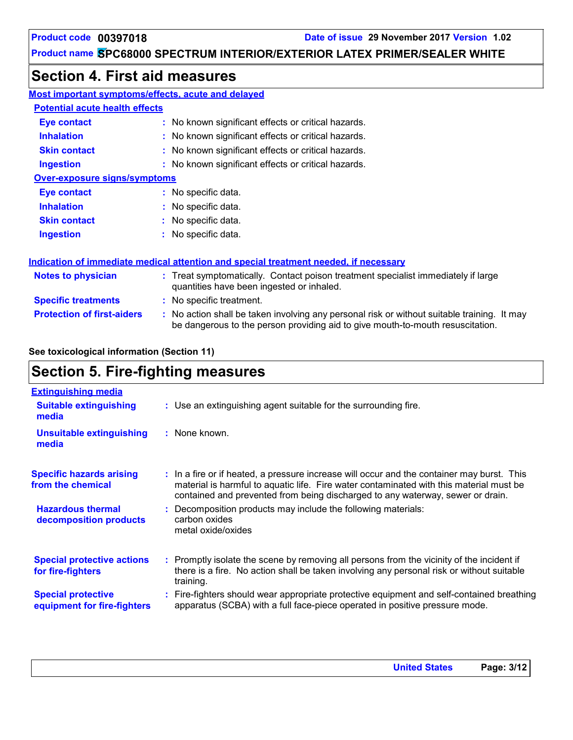# **Section 4. First aid measures**

| <b>Most important symptoms/effects, acute and delayed</b> |                                                                                                                                                                               |
|-----------------------------------------------------------|-------------------------------------------------------------------------------------------------------------------------------------------------------------------------------|
| <b>Potential acute health effects</b>                     |                                                                                                                                                                               |
| Eye contact                                               | : No known significant effects or critical hazards.                                                                                                                           |
| <b>Inhalation</b>                                         | : No known significant effects or critical hazards.                                                                                                                           |
| <b>Skin contact</b>                                       | : No known significant effects or critical hazards.                                                                                                                           |
| <b>Ingestion</b>                                          | : No known significant effects or critical hazards.                                                                                                                           |
| <b>Over-exposure signs/symptoms</b>                       |                                                                                                                                                                               |
| <b>Eye contact</b>                                        | : No specific data.                                                                                                                                                           |
| <b>Inhalation</b>                                         | : No specific data.                                                                                                                                                           |
| <b>Skin contact</b>                                       | : No specific data.                                                                                                                                                           |
| <b>Ingestion</b>                                          | : No specific data.                                                                                                                                                           |
|                                                           | Indication of immediate medical attention and special treatment needed, if necessary                                                                                          |
| <b>Notes to physician</b>                                 | : Treat symptomatically. Contact poison treatment specialist immediately if large<br>quantities have been ingested or inhaled.                                                |
| <b>Specific treatments</b>                                | : No specific treatment.                                                                                                                                                      |
| <b>Protection of first-aiders</b>                         | : No action shall be taken involving any personal risk or without suitable training. It may<br>be dangerous to the person providing aid to give mouth-to-mouth resuscitation. |

#### **See toxicological information (Section 11)**

# **Section 5. Fire-fighting measures**

| <b>Extinguishing media</b>                               |                                                                                                                                                                                                                                                                         |
|----------------------------------------------------------|-------------------------------------------------------------------------------------------------------------------------------------------------------------------------------------------------------------------------------------------------------------------------|
| <b>Suitable extinguishing</b><br>media                   | : Use an extinguishing agent suitable for the surrounding fire.                                                                                                                                                                                                         |
| <b>Unsuitable extinguishing</b><br>media                 | : None known.                                                                                                                                                                                                                                                           |
| <b>Specific hazards arising</b><br>from the chemical     | : In a fire or if heated, a pressure increase will occur and the container may burst. This<br>material is harmful to aquatic life. Fire water contaminated with this material must be<br>contained and prevented from being discharged to any waterway, sewer or drain. |
| <b>Hazardous thermal</b><br>decomposition products       | Decomposition products may include the following materials:<br>carbon oxides<br>metal oxide/oxides                                                                                                                                                                      |
| <b>Special protective actions</b><br>for fire-fighters   | : Promptly isolate the scene by removing all persons from the vicinity of the incident if<br>there is a fire. No action shall be taken involving any personal risk or without suitable<br>training.                                                                     |
| <b>Special protective</b><br>equipment for fire-fighters | Fire-fighters should wear appropriate protective equipment and self-contained breathing<br>apparatus (SCBA) with a full face-piece operated in positive pressure mode.                                                                                                  |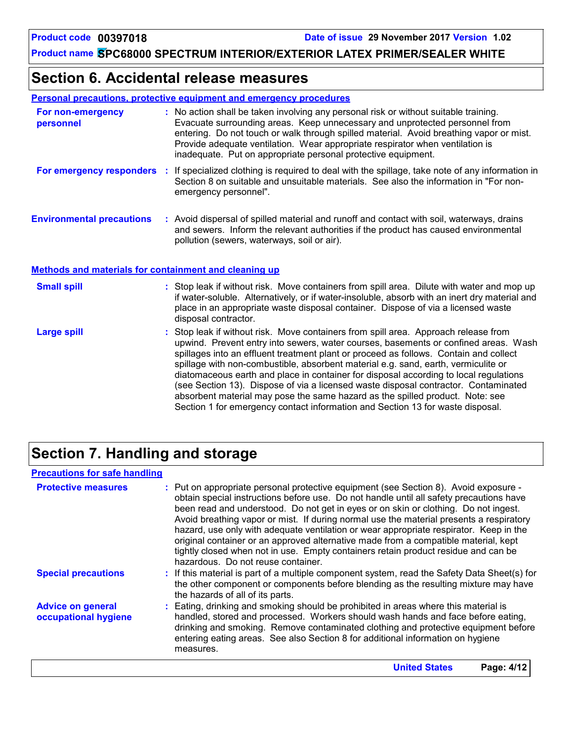### **Section 6. Accidental release measures**

#### **Personal precautions, protective equipment and emergency procedures**

| For non-emergency<br>personnel   | : No action shall be taken involving any personal risk or without suitable training.<br>Evacuate surrounding areas. Keep unnecessary and unprotected personnel from<br>entering. Do not touch or walk through spilled material. Avoid breathing vapor or mist.<br>Provide adequate ventilation. Wear appropriate respirator when ventilation is<br>inadequate. Put on appropriate personal protective equipment. |
|----------------------------------|------------------------------------------------------------------------------------------------------------------------------------------------------------------------------------------------------------------------------------------------------------------------------------------------------------------------------------------------------------------------------------------------------------------|
| For emergency responders         | : If specialized clothing is required to deal with the spillage, take note of any information in<br>Section 8 on suitable and unsuitable materials. See also the information in "For non-<br>emergency personnel".                                                                                                                                                                                               |
| <b>Environmental precautions</b> | : Avoid dispersal of spilled material and runoff and contact with soil, waterways, drains<br>and sewers. Inform the relevant authorities if the product has caused environmental<br>pollution (sewers, waterways, soil or air).                                                                                                                                                                                  |

#### **Methods and materials for containment and cleaning up**

| <b>Small spill</b> | : Stop leak if without risk. Move containers from spill area. Dilute with water and mop up<br>if water-soluble. Alternatively, or if water-insoluble, absorb with an inert dry material and<br>place in an appropriate waste disposal container. Dispose of via a licensed waste<br>disposal contractor.                                                                                                                                                                                                                                                                                                                                                                                                     |
|--------------------|--------------------------------------------------------------------------------------------------------------------------------------------------------------------------------------------------------------------------------------------------------------------------------------------------------------------------------------------------------------------------------------------------------------------------------------------------------------------------------------------------------------------------------------------------------------------------------------------------------------------------------------------------------------------------------------------------------------|
| Large spill        | : Stop leak if without risk. Move containers from spill area. Approach release from<br>upwind. Prevent entry into sewers, water courses, basements or confined areas. Wash<br>spillages into an effluent treatment plant or proceed as follows. Contain and collect<br>spillage with non-combustible, absorbent material e.g. sand, earth, vermiculite or<br>diatomaceous earth and place in container for disposal according to local regulations<br>(see Section 13). Dispose of via a licensed waste disposal contractor. Contaminated<br>absorbent material may pose the same hazard as the spilled product. Note: see<br>Section 1 for emergency contact information and Section 13 for waste disposal. |

# **Section 7. Handling and storage**

#### **Precautions for safe handling**

| <b>Protective measures</b>                       | : Put on appropriate personal protective equipment (see Section 8). Avoid exposure -<br>obtain special instructions before use. Do not handle until all safety precautions have<br>been read and understood. Do not get in eyes or on skin or clothing. Do not ingest.<br>Avoid breathing vapor or mist. If during normal use the material presents a respiratory<br>hazard, use only with adequate ventilation or wear appropriate respirator. Keep in the<br>original container or an approved alternative made from a compatible material, kept<br>tightly closed when not in use. Empty containers retain product residue and can be<br>hazardous. Do not reuse container. |
|--------------------------------------------------|--------------------------------------------------------------------------------------------------------------------------------------------------------------------------------------------------------------------------------------------------------------------------------------------------------------------------------------------------------------------------------------------------------------------------------------------------------------------------------------------------------------------------------------------------------------------------------------------------------------------------------------------------------------------------------|
| <b>Special precautions</b>                       | : If this material is part of a multiple component system, read the Safety Data Sheet(s) for<br>the other component or components before blending as the resulting mixture may have<br>the hazards of all of its parts.                                                                                                                                                                                                                                                                                                                                                                                                                                                        |
| <b>Advice on general</b><br>occupational hygiene | : Eating, drinking and smoking should be prohibited in areas where this material is<br>handled, stored and processed. Workers should wash hands and face before eating,<br>drinking and smoking. Remove contaminated clothing and protective equipment before<br>entering eating areas. See also Section 8 for additional information on hygiene<br>measures.                                                                                                                                                                                                                                                                                                                  |
|                                                  | <b>United States</b><br>Page: 4/12                                                                                                                                                                                                                                                                                                                                                                                                                                                                                                                                                                                                                                             |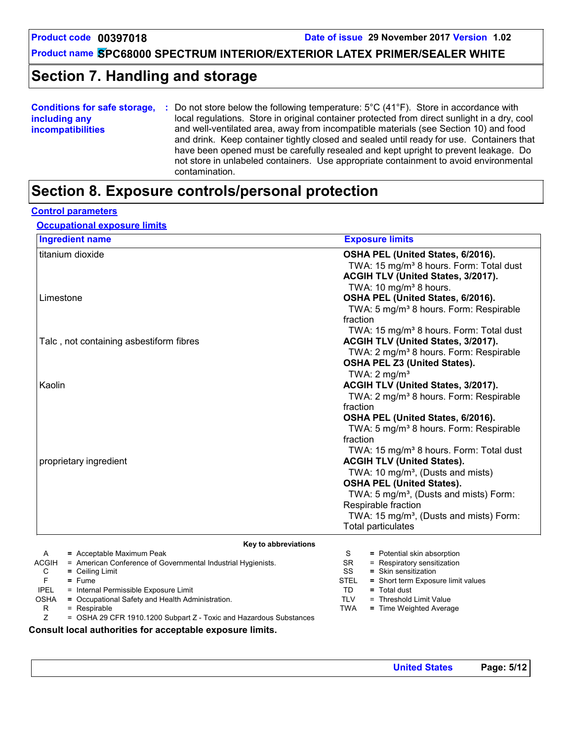**Product code 00397018 Date of issue 29 November 2017 Version 1.02**

**Product name SPC68000 SPECTRUM INTERIOR/EXTERIOR LATEX PRIMER/SEALER WHITE**

# **Section 7. Handling and storage**

| <b>Conditions for safe storage,</b> | Do not store below the following temperature: $5^{\circ}$ C (41 $^{\circ}$ F). Store in accordance with |
|-------------------------------------|---------------------------------------------------------------------------------------------------------|
| including any                       | local regulations. Store in original container protected from direct sunlight in a dry, cool            |
| <i>incompatibilities</i>            | and well-ventilated area, away from incompatible materials (see Section 10) and food                    |
|                                     | and drink. Keep container tightly closed and sealed until ready for use. Containers that                |
|                                     | have been opened must be carefully resealed and kept upright to prevent leakage. Do                     |
|                                     | not store in unlabeled containers. Use appropriate containment to avoid environmental                   |
|                                     | contamination.                                                                                          |

### **Section 8. Exposure controls/personal protection**

#### **Control parameters**

#### **Occupational exposure limits**

| <b>Ingredient name</b>                                                       | <b>Exposure limits</b>                                     |
|------------------------------------------------------------------------------|------------------------------------------------------------|
| titanium dioxide                                                             | OSHA PEL (United States, 6/2016).                          |
|                                                                              | TWA: 15 mg/m <sup>3</sup> 8 hours. Form: Total dust        |
|                                                                              | ACGIH TLV (United States, 3/2017).                         |
|                                                                              | TWA: 10 mg/m <sup>3</sup> 8 hours.                         |
| Limestone                                                                    | OSHA PEL (United States, 6/2016).                          |
|                                                                              | TWA: 5 mg/m <sup>3</sup> 8 hours. Form: Respirable         |
|                                                                              | fraction                                                   |
|                                                                              | TWA: 15 mg/m <sup>3</sup> 8 hours. Form: Total dust        |
| Talc, not containing asbestiform fibres                                      | ACGIH TLV (United States, 3/2017).                         |
|                                                                              |                                                            |
|                                                                              | TWA: 2 mg/m <sup>3</sup> 8 hours. Form: Respirable         |
|                                                                              | <b>OSHA PEL Z3 (United States).</b>                        |
|                                                                              | TWA: $2 \text{ mg/m}^3$                                    |
| Kaolin                                                                       | ACGIH TLV (United States, 3/2017).                         |
|                                                                              | TWA: 2 mg/m <sup>3</sup> 8 hours. Form: Respirable         |
|                                                                              | fraction                                                   |
|                                                                              | OSHA PEL (United States, 6/2016).                          |
|                                                                              | TWA: 5 mg/m <sup>3</sup> 8 hours. Form: Respirable         |
|                                                                              | fraction                                                   |
|                                                                              | TWA: 15 mg/m <sup>3</sup> 8 hours. Form: Total dust        |
| proprietary ingredient                                                       | <b>ACGIH TLV (United States).</b>                          |
|                                                                              | TWA: 10 mg/m <sup>3</sup> , (Dusts and mists)              |
|                                                                              | <b>OSHA PEL (United States).</b>                           |
|                                                                              | TWA: 5 mg/m <sup>3</sup> , (Dusts and mists) Form:         |
|                                                                              | Respirable fraction                                        |
|                                                                              | TWA: 15 mg/m <sup>3</sup> , (Dusts and mists) Form:        |
|                                                                              | <b>Total particulates</b>                                  |
|                                                                              |                                                            |
| Key to abbreviations                                                         |                                                            |
| = Acceptable Maximum Peak<br>A                                               | S<br>= Potential skin absorption                           |
| <b>ACGIH</b><br>= American Conference of Governmental Industrial Hygienists. | = Respiratory sensitization<br><b>SR</b>                   |
| $=$ Ceiling Limit<br>С<br>F<br>$=$ Fume                                      | = Skin sensitization<br>SS<br><b>STEL</b>                  |
| <b>IPEL</b><br>= Internal Permissible Exposure Limit                         | = Short term Exposure limit values<br>$=$ Total dust<br>TD |
| = Occupational Safety and Health Administration.<br><b>OSHA</b>              | <b>TLV</b><br>= Threshold Limit Value                      |

 $R = Respirable$ <br>  $Z = OSHA 29 C$ 

= OSHA 29 CFR 1910.1200 Subpart Z - Toxic and Hazardous Substances

**Consult local authorities for acceptable exposure limits.**

TWA **=** Time Weighted Average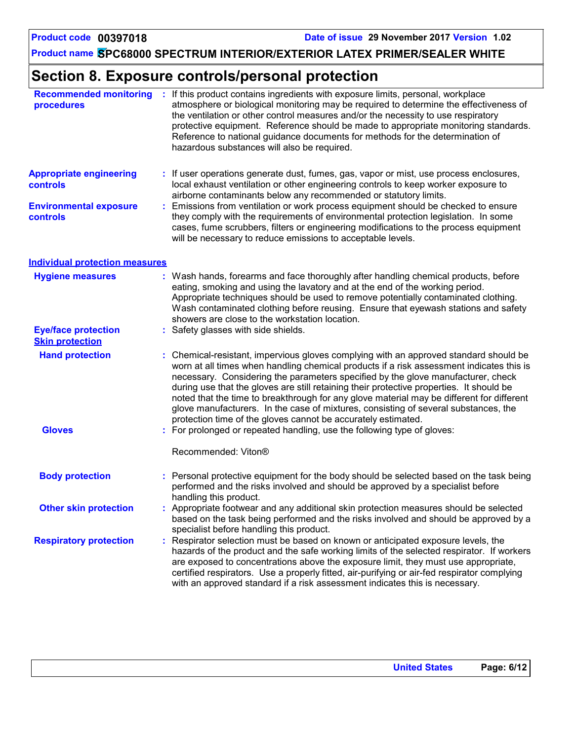# **Section 8. Exposure controls/personal protection**

| <b>Recommended monitoring</b><br>procedures          | ÷  | If this product contains ingredients with exposure limits, personal, workplace<br>atmosphere or biological monitoring may be required to determine the effectiveness of<br>the ventilation or other control measures and/or the necessity to use respiratory<br>protective equipment. Reference should be made to appropriate monitoring standards.<br>Reference to national guidance documents for methods for the determination of<br>hazardous substances will also be required.                                                                                                                                  |  |  |
|------------------------------------------------------|----|----------------------------------------------------------------------------------------------------------------------------------------------------------------------------------------------------------------------------------------------------------------------------------------------------------------------------------------------------------------------------------------------------------------------------------------------------------------------------------------------------------------------------------------------------------------------------------------------------------------------|--|--|
| <b>Appropriate engineering</b><br><b>controls</b>    |    | : If user operations generate dust, fumes, gas, vapor or mist, use process enclosures,<br>local exhaust ventilation or other engineering controls to keep worker exposure to<br>airborne contaminants below any recommended or statutory limits.                                                                                                                                                                                                                                                                                                                                                                     |  |  |
| <b>Environmental exposure</b><br><b>controls</b>     |    | Emissions from ventilation or work process equipment should be checked to ensure<br>they comply with the requirements of environmental protection legislation. In some<br>cases, fume scrubbers, filters or engineering modifications to the process equipment<br>will be necessary to reduce emissions to acceptable levels.                                                                                                                                                                                                                                                                                        |  |  |
| <b>Individual protection measures</b>                |    |                                                                                                                                                                                                                                                                                                                                                                                                                                                                                                                                                                                                                      |  |  |
| <b>Hygiene measures</b>                              |    | Wash hands, forearms and face thoroughly after handling chemical products, before<br>eating, smoking and using the lavatory and at the end of the working period.<br>Appropriate techniques should be used to remove potentially contaminated clothing.<br>Wash contaminated clothing before reusing. Ensure that eyewash stations and safety<br>showers are close to the workstation location.                                                                                                                                                                                                                      |  |  |
| <b>Eye/face protection</b><br><b>Skin protection</b> |    | Safety glasses with side shields.                                                                                                                                                                                                                                                                                                                                                                                                                                                                                                                                                                                    |  |  |
| <b>Hand protection</b>                               |    | Chemical-resistant, impervious gloves complying with an approved standard should be<br>worn at all times when handling chemical products if a risk assessment indicates this is<br>necessary. Considering the parameters specified by the glove manufacturer, check<br>during use that the gloves are still retaining their protective properties. It should be<br>noted that the time to breakthrough for any glove material may be different for different<br>glove manufacturers. In the case of mixtures, consisting of several substances, the<br>protection time of the gloves cannot be accurately estimated. |  |  |
| <b>Gloves</b>                                        | ŧ. | For prolonged or repeated handling, use the following type of gloves:                                                                                                                                                                                                                                                                                                                                                                                                                                                                                                                                                |  |  |
|                                                      |    | Recommended: Viton®                                                                                                                                                                                                                                                                                                                                                                                                                                                                                                                                                                                                  |  |  |
| <b>Body protection</b>                               |    | Personal protective equipment for the body should be selected based on the task being<br>performed and the risks involved and should be approved by a specialist before<br>handling this product.                                                                                                                                                                                                                                                                                                                                                                                                                    |  |  |
| <b>Other skin protection</b>                         |    | : Appropriate footwear and any additional skin protection measures should be selected<br>based on the task being performed and the risks involved and should be approved by a<br>specialist before handling this product.                                                                                                                                                                                                                                                                                                                                                                                            |  |  |
| <b>Respiratory protection</b>                        |    | Respirator selection must be based on known or anticipated exposure levels, the<br>hazards of the product and the safe working limits of the selected respirator. If workers<br>are exposed to concentrations above the exposure limit, they must use appropriate,<br>certified respirators. Use a properly fitted, air-purifying or air-fed respirator complying<br>with an approved standard if a risk assessment indicates this is necessary.                                                                                                                                                                     |  |  |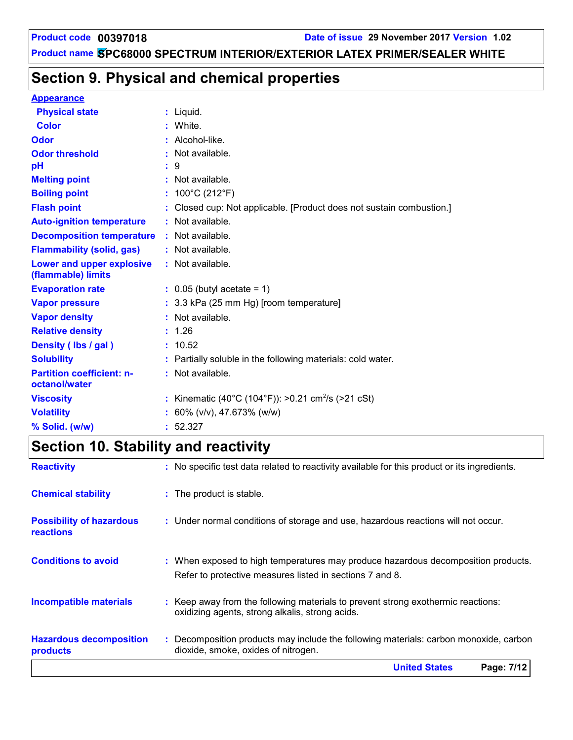# **Section 9. Physical and chemical properties**

#### **Appearance**

| <b>Physical state</b>                             | $:$ Liquid.                                                        |
|---------------------------------------------------|--------------------------------------------------------------------|
| <b>Color</b>                                      | White.                                                             |
| Odor                                              | : Alcohol-like.                                                    |
| <b>Odor threshold</b>                             | Not available.                                                     |
| рH                                                | 9                                                                  |
| <b>Melting point</b>                              | : Not available.                                                   |
| <b>Boiling point</b>                              | : $100^{\circ}$ C (212 $^{\circ}$ F)                               |
| <b>Flash point</b>                                | Closed cup: Not applicable. [Product does not sustain combustion.] |
| <b>Auto-ignition temperature</b>                  | : Not available.                                                   |
| <b>Decomposition temperature</b>                  | : Not available.                                                   |
| <b>Flammability (solid, gas)</b>                  | : Not available.                                                   |
| Lower and upper explosive<br>(flammable) limits   | : Not available.                                                   |
| <b>Evaporation rate</b>                           | $\therefore$ 0.05 (butyl acetate = 1)                              |
| <b>Vapor pressure</b>                             | : 3.3 kPa (25 mm Hg) [room temperature]                            |
| <b>Vapor density</b>                              | : Not available.                                                   |
| <b>Relative density</b>                           | : 1.26                                                             |
| Density (Ibs / gal)                               | : 10.52                                                            |
| <b>Solubility</b>                                 | : Partially soluble in the following materials: cold water.        |
| <b>Partition coefficient: n-</b><br>octanol/water | $:$ Not available.                                                 |
| <b>Viscosity</b>                                  | : Kinematic (40°C (104°F)): >0.21 cm <sup>2</sup> /s (>21 cSt)     |
| <b>Volatility</b>                                 | 60% (v/v), 47.673% (w/w)                                           |
| % Solid. (w/w)                                    | : 52.327                                                           |

# **Section 10. Stability and reactivity**

| <b>Reactivity</b>                            | : No specific test data related to reactivity available for this product or its ingredients.                                                  |
|----------------------------------------------|-----------------------------------------------------------------------------------------------------------------------------------------------|
| <b>Chemical stability</b>                    | : The product is stable.                                                                                                                      |
| <b>Possibility of hazardous</b><br>reactions | : Under normal conditions of storage and use, hazardous reactions will not occur.                                                             |
| <b>Conditions to avoid</b>                   | : When exposed to high temperatures may produce hazardous decomposition products.<br>Refer to protective measures listed in sections 7 and 8. |
| <b>Incompatible materials</b>                | : Keep away from the following materials to prevent strong exothermic reactions:<br>oxidizing agents, strong alkalis, strong acids.           |
| <b>Hazardous decomposition</b><br>products   | : Decomposition products may include the following materials: carbon monoxide, carbon<br>dioxide, smoke, oxides of nitrogen.                  |
|                                              | <b>United States</b><br>Page: 7/12                                                                                                            |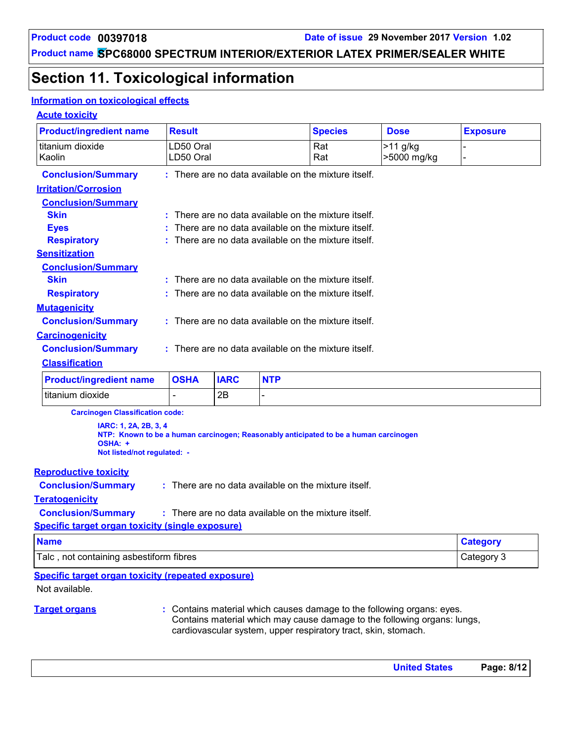# **Section 11. Toxicological information**

#### **Information on toxicological effects**

#### **Acute toxicity**

| <b>Product/ingredient name</b>                                  | <b>Result</b>                                        | <b>Species</b> |                          |                                                                                      | <b>Dose</b>                                                              | <b>Exposure</b> |
|-----------------------------------------------------------------|------------------------------------------------------|----------------|--------------------------|--------------------------------------------------------------------------------------|--------------------------------------------------------------------------|-----------------|
| titanium dioxide<br>Kaolin                                      | LD50 Oral<br>LD50 Oral                               |                |                          |                                                                                      | $>11$ g/kg<br>>5000 mg/kg                                                |                 |
| <b>Conclusion/Summary</b>                                       | : There are no data available on the mixture itself. |                |                          |                                                                                      |                                                                          |                 |
| <b>Irritation/Corrosion</b>                                     |                                                      |                |                          |                                                                                      |                                                                          |                 |
| <b>Conclusion/Summary</b>                                       |                                                      |                |                          |                                                                                      |                                                                          |                 |
| <b>Skin</b>                                                     |                                                      |                |                          | There are no data available on the mixture itself.                                   |                                                                          |                 |
| <b>Eyes</b>                                                     |                                                      |                |                          | There are no data available on the mixture itself.                                   |                                                                          |                 |
| <b>Respiratory</b>                                              |                                                      |                |                          | There are no data available on the mixture itself.                                   |                                                                          |                 |
| <b>Sensitization</b>                                            |                                                      |                |                          |                                                                                      |                                                                          |                 |
| <b>Conclusion/Summary</b><br><b>Skin</b>                        |                                                      |                |                          | : There are no data available on the mixture itself.                                 |                                                                          |                 |
| <b>Respiratory</b>                                              |                                                      |                |                          | There are no data available on the mixture itself.                                   |                                                                          |                 |
|                                                                 |                                                      |                |                          |                                                                                      |                                                                          |                 |
| <b>Mutagenicity</b><br><b>Conclusion/Summary</b>                |                                                      |                |                          | : There are no data available on the mixture itself.                                 |                                                                          |                 |
| <b>Carcinogenicity</b>                                          |                                                      |                |                          |                                                                                      |                                                                          |                 |
| <b>Conclusion/Summary</b>                                       | : There are no data available on the mixture itself. |                |                          |                                                                                      |                                                                          |                 |
| <b>Classification</b>                                           |                                                      |                |                          |                                                                                      |                                                                          |                 |
| <b>Product/ingredient name</b>                                  | <b>OSHA</b>                                          | <b>IARC</b>    | <b>NTP</b>               |                                                                                      |                                                                          |                 |
|                                                                 |                                                      |                |                          |                                                                                      |                                                                          |                 |
| titanium dioxide                                                |                                                      | 2B             | $\overline{\phantom{0}}$ |                                                                                      |                                                                          |                 |
| <b>Carcinogen Classification code:</b>                          |                                                      |                |                          |                                                                                      |                                                                          |                 |
| IARC: 1, 2A, 2B, 3, 4<br>OSHA: +<br>Not listed/not regulated: - |                                                      |                |                          | NTP: Known to be a human carcinogen; Reasonably anticipated to be a human carcinogen |                                                                          |                 |
| <b>Reproductive toxicity</b>                                    |                                                      |                |                          |                                                                                      |                                                                          |                 |
| <b>Conclusion/Summary</b>                                       | : There are no data available on the mixture itself. |                |                          |                                                                                      |                                                                          |                 |
| <b>Teratogenicity</b>                                           |                                                      |                |                          |                                                                                      |                                                                          |                 |
| <b>Conclusion/Summary</b>                                       |                                                      |                |                          | : There are no data available on the mixture itself.                                 |                                                                          |                 |
| <b>Specific target organ toxicity (single exposure)</b>         |                                                      |                |                          |                                                                                      |                                                                          |                 |
| <b>Name</b>                                                     |                                                      |                |                          |                                                                                      |                                                                          | <b>Category</b> |
| Talc, not containing asbestiform fibres<br>Category 3           |                                                      |                |                          |                                                                                      |                                                                          |                 |
| <b>Specific target organ toxicity (repeated exposure)</b>       |                                                      |                |                          |                                                                                      |                                                                          |                 |
| Not available.                                                  |                                                      |                |                          |                                                                                      |                                                                          |                 |
| <b>Target organs</b>                                            |                                                      |                |                          |                                                                                      | : Contains material which causes damage to the following organs: eyes.   |                 |
|                                                                 |                                                      |                |                          |                                                                                      | Contains material which may cause damage to the following organs: lungs, |                 |

cardiovascular system, upper respiratory tract, skin, stomach.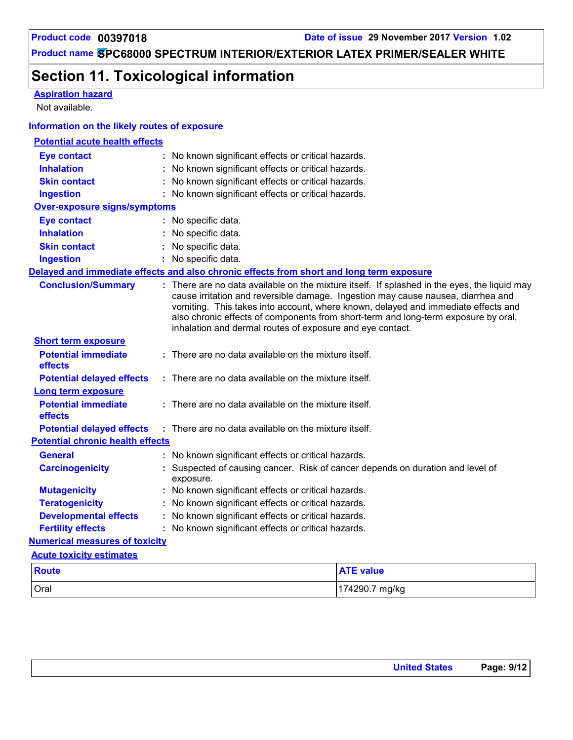**Aspiration hazard**

# **Product name SPC68000 SPECTRUM INTERIOR/EXTERIOR LATEX PRIMER/SEALER WHITE**

# **Section 11. Toxicological information**

| Not available.                               |                                                                                             |                                                                                                                                                                                                                                                                                                                                                             |
|----------------------------------------------|---------------------------------------------------------------------------------------------|-------------------------------------------------------------------------------------------------------------------------------------------------------------------------------------------------------------------------------------------------------------------------------------------------------------------------------------------------------------|
| Information on the likely routes of exposure |                                                                                             |                                                                                                                                                                                                                                                                                                                                                             |
| <b>Potential acute health effects</b>        |                                                                                             |                                                                                                                                                                                                                                                                                                                                                             |
| <b>Eye contact</b>                           | : No known significant effects or critical hazards.                                         |                                                                                                                                                                                                                                                                                                                                                             |
| <b>Inhalation</b>                            | : No known significant effects or critical hazards.                                         |                                                                                                                                                                                                                                                                                                                                                             |
| <b>Skin contact</b>                          | No known significant effects or critical hazards.                                           |                                                                                                                                                                                                                                                                                                                                                             |
| <b>Ingestion</b>                             | : No known significant effects or critical hazards.                                         |                                                                                                                                                                                                                                                                                                                                                             |
| <b>Over-exposure signs/symptoms</b>          |                                                                                             |                                                                                                                                                                                                                                                                                                                                                             |
| <b>Eye contact</b>                           | : No specific data.                                                                         |                                                                                                                                                                                                                                                                                                                                                             |
| <b>Inhalation</b>                            | : No specific data.                                                                         |                                                                                                                                                                                                                                                                                                                                                             |
| <b>Skin contact</b>                          | : No specific data.                                                                         |                                                                                                                                                                                                                                                                                                                                                             |
| <b>Ingestion</b>                             | : No specific data.                                                                         |                                                                                                                                                                                                                                                                                                                                                             |
|                                              | Delayed and immediate effects and also chronic effects from short and long term exposure    |                                                                                                                                                                                                                                                                                                                                                             |
| <b>Conclusion/Summary</b>                    | inhalation and dermal routes of exposure and eye contact.                                   | : There are no data available on the mixture itself. If splashed in the eyes, the liquid may<br>cause irritation and reversible damage. Ingestion may cause nausea, diarrhea and<br>vomiting. This takes into account, where known, delayed and immediate effects and<br>also chronic effects of components from short-term and long-term exposure by oral, |
| <b>Short term exposure</b>                   |                                                                                             |                                                                                                                                                                                                                                                                                                                                                             |
| <b>Potential immediate</b><br>effects        | : There are no data available on the mixture itself.                                        |                                                                                                                                                                                                                                                                                                                                                             |
| <b>Potential delayed effects</b>             | : There are no data available on the mixture itself.                                        |                                                                                                                                                                                                                                                                                                                                                             |
| <b>Long term exposure</b>                    |                                                                                             |                                                                                                                                                                                                                                                                                                                                                             |
| <b>Potential immediate</b><br>effects        | : There are no data available on the mixture itself.                                        |                                                                                                                                                                                                                                                                                                                                                             |
| <b>Potential delayed effects</b>             | : There are no data available on the mixture itself.                                        |                                                                                                                                                                                                                                                                                                                                                             |
| <b>Potential chronic health effects</b>      |                                                                                             |                                                                                                                                                                                                                                                                                                                                                             |
| <b>General</b>                               | : No known significant effects or critical hazards.                                         |                                                                                                                                                                                                                                                                                                                                                             |
| <b>Carcinogenicity</b>                       | : Suspected of causing cancer. Risk of cancer depends on duration and level of<br>exposure. |                                                                                                                                                                                                                                                                                                                                                             |
| <b>Mutagenicity</b>                          | : No known significant effects or critical hazards.                                         |                                                                                                                                                                                                                                                                                                                                                             |
| <b>Teratogenicity</b>                        | : No known significant effects or critical hazards.                                         |                                                                                                                                                                                                                                                                                                                                                             |
| <b>Developmental effects</b>                 | : No known significant effects or critical hazards.                                         |                                                                                                                                                                                                                                                                                                                                                             |
| <b>Fertility effects</b>                     | : No known significant effects or critical hazards.                                         |                                                                                                                                                                                                                                                                                                                                                             |
| <b>Numerical measures of toxicity</b>        |                                                                                             |                                                                                                                                                                                                                                                                                                                                                             |
| <b>Acute toxicity estimates</b>              |                                                                                             |                                                                                                                                                                                                                                                                                                                                                             |
| <b>Route</b>                                 |                                                                                             | <b>ATE value</b>                                                                                                                                                                                                                                                                                                                                            |
| Oral                                         |                                                                                             | 174290.7 mg/kg                                                                                                                                                                                                                                                                                                                                              |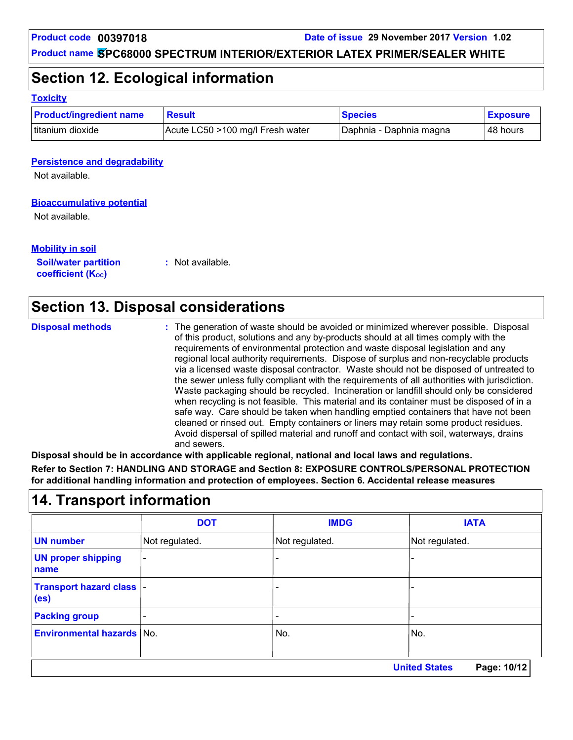### **Section 12. Ecological information**

#### **Toxicity**

| <b>Product/ingredient name</b> | <b>Result</b>                    | <b>Species</b>          | <b>Exposure</b> |
|--------------------------------|----------------------------------|-------------------------|-----------------|
| titanium dioxide               | Acute LC50 >100 mg/l Fresh water | Daphnia - Daphnia magna | 48 hours        |

#### **Persistence and degradability**

Not available.

#### **Bioaccumulative potential**

Not available.

#### **Mobility in soil**

**Soil/water partition coefficient (K**<sub>oc</sub>)

**:** Not available.

### **Section 13. Disposal considerations**

| <b>Disposal methods</b> | : The generation of waste should be avoided or minimized wherever possible. Disposal<br>of this product, solutions and any by-products should at all times comply with the<br>requirements of environmental protection and waste disposal legislation and any<br>regional local authority requirements. Dispose of surplus and non-recyclable products<br>via a licensed waste disposal contractor. Waste should not be disposed of untreated to<br>the sewer unless fully compliant with the requirements of all authorities with jurisdiction.<br>Waste packaging should be recycled. Incineration or landfill should only be considered<br>when recycling is not feasible. This material and its container must be disposed of in a<br>safe way. Care should be taken when handling emptied containers that have not been<br>cleaned or rinsed out. Empty containers or liners may retain some product residues.<br>Avoid dispersal of spilled material and runoff and contact with soil, waterways, drains |
|-------------------------|----------------------------------------------------------------------------------------------------------------------------------------------------------------------------------------------------------------------------------------------------------------------------------------------------------------------------------------------------------------------------------------------------------------------------------------------------------------------------------------------------------------------------------------------------------------------------------------------------------------------------------------------------------------------------------------------------------------------------------------------------------------------------------------------------------------------------------------------------------------------------------------------------------------------------------------------------------------------------------------------------------------|
|                         | and sewers.                                                                                                                                                                                                                                                                                                                                                                                                                                                                                                                                                                                                                                                                                                                                                                                                                                                                                                                                                                                                    |

**Disposal should be in accordance with applicable regional, national and local laws and regulations. Refer to Section 7: HANDLING AND STORAGE and Section 8: EXPOSURE CONTROLS/PERSONAL PROTECTION for additional handling information and protection of employees. Section 6. Accidental release measures**

### **14. Transport information**

|                                                | <b>DOT</b>                          | <b>IMDG</b>              | <b>IATA</b>    |  |  |
|------------------------------------------------|-------------------------------------|--------------------------|----------------|--|--|
| <b>UN number</b>                               | Not regulated.                      | Not regulated.           | Not regulated. |  |  |
| <b>UN proper shipping</b><br>name              | ۰                                   |                          |                |  |  |
| Transport hazard class  -<br>(e <sub>s</sub> ) |                                     |                          |                |  |  |
| <b>Packing group</b>                           |                                     | $\overline{\phantom{0}}$ |                |  |  |
| <b>Environmental hazards No.</b>               |                                     | No.                      | No.            |  |  |
|                                                | <b>United States</b><br>Page: 10/12 |                          |                |  |  |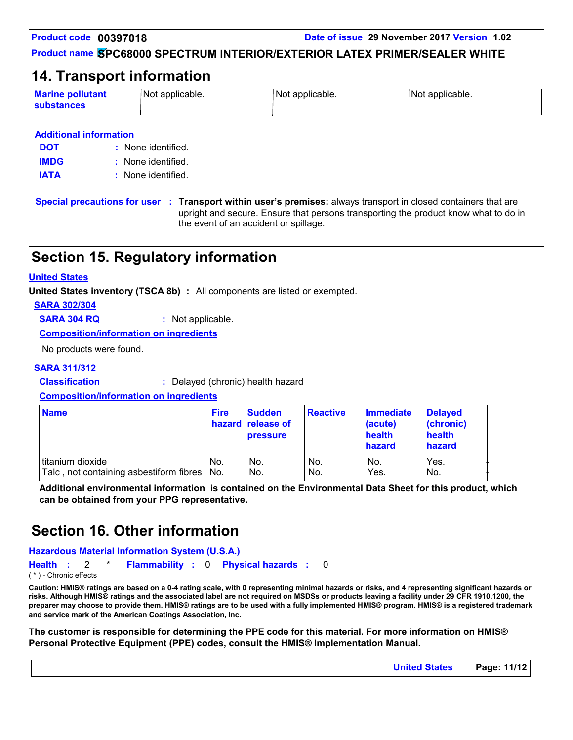**Product code 00397018 Date of issue 29 November 2017 Version 1.02**

#### **Product name SPC68000 SPECTRUM INTERIOR/EXTERIOR LATEX PRIMER/SEALER WHITE**

### **14. Transport information**

| <b>Marine pollutant</b><br><b>substances</b> | Not applicable. | Not applicable. | Not applicable. |
|----------------------------------------------|-----------------|-----------------|-----------------|
|----------------------------------------------|-----------------|-----------------|-----------------|

#### **Additional information**

| <b>DOT</b>  | : None identified. |
|-------------|--------------------|
| <b>IMDG</b> | : None identified. |
| <b>IATA</b> | : None identified. |

**Special precautions for user Transport within user's premises:** always transport in closed containers that are **:** upright and secure. Ensure that persons transporting the product know what to do in the event of an accident or spillage.

# **Section 15. Regulatory information**

#### **United States**

**United States inventory (TSCA 8b) :** All components are listed or exempted.

**SARA 302/304**

**SARA 304 RQ :** Not applicable.

**Composition/information on ingredients**

No products were found.

#### **SARA 311/312**

**Classification :** Delayed (chronic) health hazard

#### **Composition/information on ingredients**

| <b>Name</b>                             | <b>Fire</b> | <b>Sudden</b><br>hazard release of<br><b>pressure</b> | <b>Reactive</b> | Immediate<br>(acute)<br>health<br>hazard | Delayed<br>(chronic)<br>health<br>hazard |
|-----------------------------------------|-------------|-------------------------------------------------------|-----------------|------------------------------------------|------------------------------------------|
| titanium dioxide                        | No.         | No.                                                   | No.             | No.                                      | Yes.                                     |
| Talc, not containing asbestiform fibres | No.         | No.                                                   | No.             | Yes.                                     | No.                                      |

**Additional environmental information is contained on the Environmental Data Sheet for this product, which can be obtained from your PPG representative.**

### **Section 16. Other information**

#### **Hazardous Material Information System (U.S.A.)**

```
Health Flammability 0 Physical hazards
: 2 * : : 0
( * ) - Chronic effects
```
**Caution: HMIS® ratings are based on a 0-4 rating scale, with 0 representing minimal hazards or risks, and 4 representing significant hazards or risks. Although HMIS® ratings and the associated label are not required on MSDSs or products leaving a facility under 29 CFR 1910.1200, the preparer may choose to provide them. HMIS® ratings are to be used with a fully implemented HMIS® program. HMIS® is a registered trademark and service mark of the American Coatings Association, Inc.**

**The customer is responsible for determining the PPE code for this material. For more information on HMIS® Personal Protective Equipment (PPE) codes, consult the HMIS® Implementation Manual.**